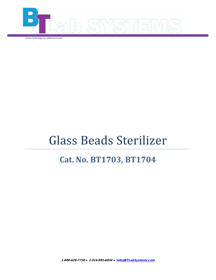

A Geno Technology, Inc. (USA) brand name

# Glass Beads Sterilizer

# **Cat. No. BT1703, BT1704**

1-800-628-7730 ♦ 1-314-991-6034 ♦ [info@BTLabSystems.com](mailto:info@BTLabSystems.com)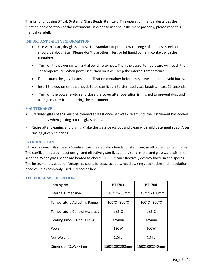Thanks for choosing BT Lab Systems' Glass Beads Sterilizer. This operation manual describes the function and operation of the instrument. In order to use the instrument properly, please read this manual carefully.

#### **IMPORTANT SAFETY INFORMATION**

- Use with clean, dry glass beads. The standard depth below the edge of stainless steel container should be about 2cm. Please don't use other fillers or let liquid come in contact with the container.
- Turn on the power switch and allow time to heat. Then the vessel temperature will reach the set temperature. When power is turned on it will keep the internal temperature.
- Don't touch the glass beads or sterilization container before they have cooled to avoid burns.
- Insert the equipment that needs to be sterilized into sterilized glass beads at least 10 seconds.
- Turn off the power switch and close the cover after operation is finished to prevent dust and foreign matter from entering the instrument.

#### **MAINTENANCE**

- Sterilized glass beads must be cleaned at least once per week. Wait until the instrument has cooled completely when getting out the glass beads.
- Reuse after cleaning and drying. (Take the glass beads out and clean with mild detergent soap. After rinsing ,it can be dried)

#### **INTRODUCTION**

BT Lab Systems' Glass Beads Sterilizer uses heated glass beads for sterilizing small lab equipment items. The sterilizer has a compact design and effectively sterilizes small, solid, metal and glassware within ten seconds. When glass beads are heated to about 300 °C, it can effectively destroy bacteria and spores. The instrument is used for forceps, scissors, forceps, scalpels, needles, ring vaccination and inoculation needles. It is commonly used in research labs.

| Catalog No.                           | <b>BT1703</b>     | <b>BT1704</b> |
|---------------------------------------|-------------------|---------------|
| <b>Internal Dimension</b>             | 040mmx80mm        | 040mmx150mm   |
| <b>Temperature Adjusting Range</b>    | 100°C ~300°C      | 100°C ~300°C  |
| <b>Temperature Control Accuracy</b>   | $5^{\circ}$ C     | $\leq$ +5°C   |
| Heating time(R.T. to $300^{\circ}$ C) | $<$ 25 $min$      | $\leq$ 25min  |
| Power                                 | 120W              | 300W          |
| Net Weight                            | 2.0 <sub>kg</sub> | 2.5kg         |
| Dimension(DxWXH)mm                    | 150X130X200mm     | 150X130X240mm |

# **TECHNICAL SPECIFICATIONS**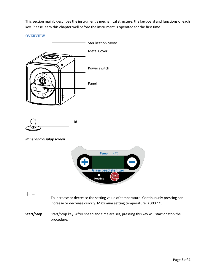This section mainly describes the instrument's mechanical structure, the keyboard and functions of each key. Please learn this chapter well before the instrument is operated for the first time.

**OVERVIEW**



Start/Stop Start/Stop key. After speed and time are set, pressing this key will start or stop the procedure.